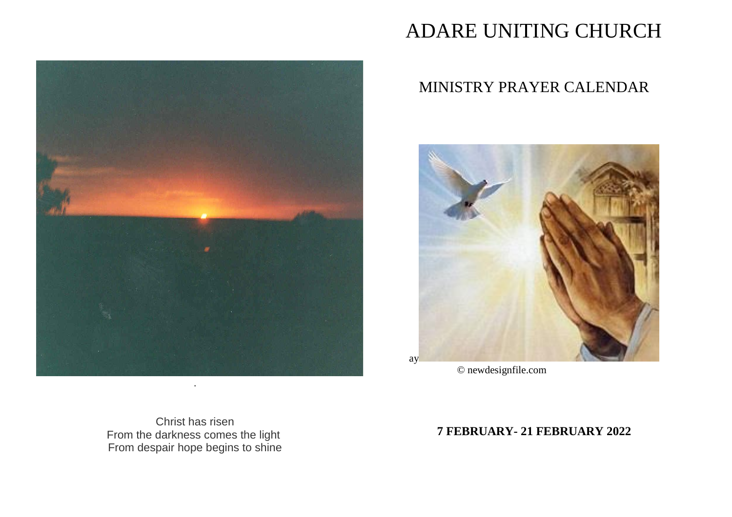

# ADARE UNITING CHURCH

# MINISTRY PRAYER CALENDAR



© newdesignfile.com

Christ has risen From the darkness comes the light From despair hope begins to shine

# **7 FEBRUARY- 21 FEBRUARY 2022**